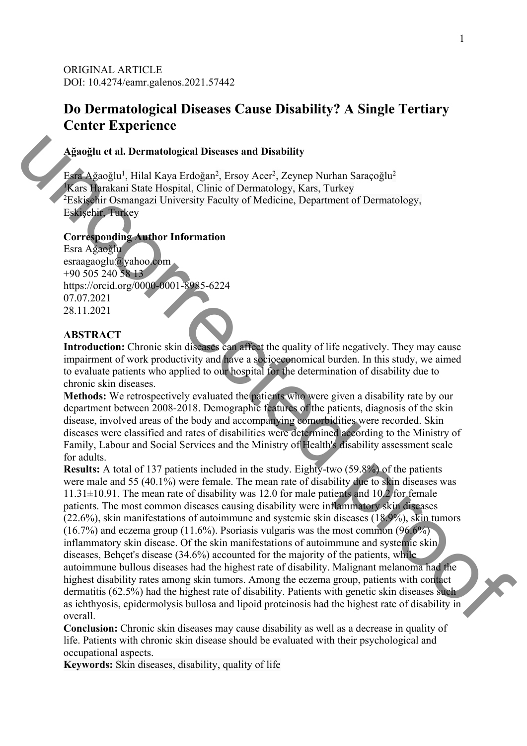ORIGINAL ARTICLE DOI: 10.4274/eamr.galenos.2021.57442

# **Do Dermatological Diseases Cause Disability? A Single Tertiary Center Experience**

#### **Ağaoğlu et al. Dermatological Diseases and Disability**

Esra Ağaoğlu<sup>1</sup>, Hilal Kaya Erdoğan<sup>2</sup>, Ersoy Acer<sup>2</sup>, Zeynep Nurhan Saraçoğlu<sup>2</sup> 1 Kars Harakani State Hospital, Clinic of Dermatology, Kars, Turkey <sup>2</sup>Eskişehir Osmangazi University Faculty of Medicine, Department of Dermatology, Eskişehir, Turkey

#### **Corresponding Author Information**

Esra Ağaoğlu esraagaoglu@yahoo.com +90 505 240 58 13 https://orcid.org/0000-0001-8985-6224 07.07.2021 28.11.2021

## **ABSTRACT**

Introduction: Chronic skin diseases can affect the quality of life negatively. They may cause impairment of work productivity and have a socioeconomical burden. In this study, we aimed to evaluate patients who applied to our hospital for the determination of disability due to chronic skin diseases.

**Methods:** We retrospectively evaluated the patients who were given a disability rate by our department between 2008-2018. Demographic features of the patients, diagnosis of the skin disease, involved areas of the body and accompanying comorbidities were recorded. Skin diseases were classified and rates of disabilities were determined according to the Ministry of Family, Labour and Social Services and the Ministry of Health's disability assessment scale for adults.

**Results:** A total of 137 patients included in the study. Eighty-two (59.8%) of the patients were male and 55 (40.1%) were female. The mean rate of disability due to skin diseases was  $11.31\pm10.91$ . The mean rate of disability was 12.0 for male patients and 10.2 for female patients. The most common diseases causing disability were inflammatory skin diseases (22.6%), skin manifestations of autoimmune and systemic skin diseases (18.9%), skin tumors  $(16.7%)$  and eczema group  $(11.6%)$ . Psoriasis vulgaris was the most common  $(96.6%)$ inflammatory skin disease. Of the skin manifestations of autoimmune and systemic skin diseases, Behçet's disease (34.6%) accounted for the majority of the patients, while autoimmune bullous diseases had the highest rate of disability. Malignant melanoma had the highest disability rates among skin tumors. Among the eczema group, patients with contact dermatitis (62.5%) had the highest rate of disability. Patients with genetic skin diseases such as ichthyosis, epidermolysis bullosa and lipoid proteinosis had the highest rate of disability in overall. Aganglu et al. Dermatological Diseases and Disability<br>
Lead, Azooglu<sup>3</sup>. Eliad, Kaya Erdopina<sup>2</sup>, Erosy Aver<sup>2</sup>, Zeyney Nurhan Saraçoglu<sup>3</sup><br>
Kana Sheakhin Shammazd University Faculty of Medicine. Department of Dermatology

**Conclusion:** Chronic skin diseases may cause disability as well as a decrease in quality of life. Patients with chronic skin disease should be evaluated with their psychological and occupational aspects.

**Keywords:** Skin diseases, disability, quality of life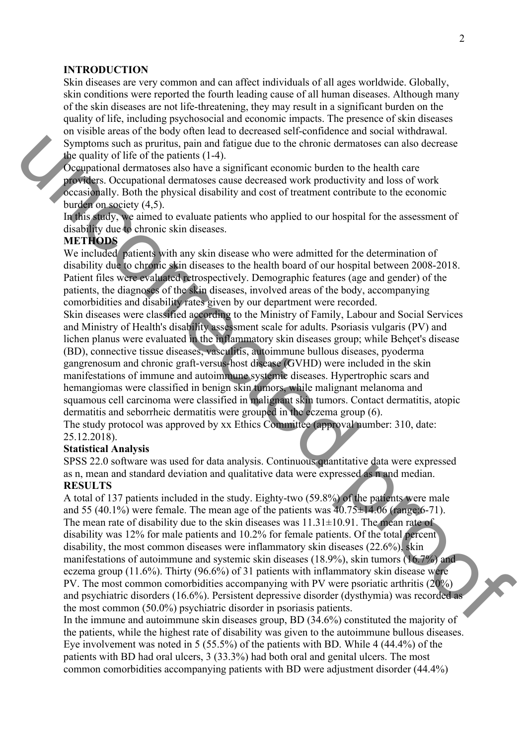#### **INTRODUCTION**

Skin diseases are very common and can affect individuals of all ages worldwide. Globally, skin conditions were reported the fourth leading cause of all human diseases. Although many of the skin diseases are not life-threatening, they may result in a significant burden on the quality of life, including psychosocial and economic impacts. The presence of skin diseases on visible areas of the body often lead to decreased self-confidence and social withdrawal. Symptoms such as pruritus, pain and fatigue due to the chronic dermatoses can also decrease the quality of life of the patients (1-4).

Occupational dermatoses also have a significant economic burden to the health care providers. Occupational dermatoses cause decreased work productivity and loss of work occasionally. Both the physical disability and cost of treatment contribute to the economic burden on society (4,5).

In this study, we aimed to evaluate patients who applied to our hospital for the assessment of disability due to chronic skin diseases.

### **METHODS**

We included patients with any skin disease who were admitted for the determination of disability due to chronic skin diseases to the health board of our hospital between 2008-2018. Patient files were evaluated retrospectively. Demographic features (age and gender) of the patients, the diagnoses of the skin diseases, involved areas of the body, accompanying comorbidities and disability rates given by our department were recorded.

Skin diseases were classified according to the Ministry of Family, Labour and Social Services and Ministry of Health's disability assessment scale for adults. Psoriasis vulgaris (PV) and lichen planus were evaluated in the inflammatory skin diseases group; while Behçet's disease (BD), connective tissue diseases, vasculitis, autoimmune bullous diseases, pyoderma gangrenosum and chronic graft-versus-host disease (GVHD) were included in the skin manifestations of immune and autoimmune systemic diseases. Hypertrophic scars and hemangiomas were classified in benign skin tumors, while malignant melanoma and squamous cell carcinoma were classified in malignant skin tumors. Contact dermatitis, atopic dermatitis and seborrheic dermatitis were grouped in the eczema group (6).

The study protocol was approved by xx Ethics Committee (approval number: 310, date: 25.12.2018).

#### **Statistical Analysis**

SPSS 22.0 software was used for data analysis. Continuous quantitative data were expressed as n, mean and standard deviation and qualitative data were expressed as n and median. **RESULTS** 

A total of 137 patients included in the study. Eighty-two (59.8%) of the patients were male and 55 (40.1%) were female. The mean age of the patients was  $40.75 \pm 14.06$  (range:6-71). The mean rate of disability due to the skin diseases was  $11.31\pm10.91$ . The mean rate of disability was 12% for male patients and 10.2% for female patients. Of the total percent disability, the most common diseases were inflammatory skin diseases (22.6%), skin manifestations of autoimmune and systemic skin diseases (18.9%), skin tumors (16.7%) and eczema group (11.6%). Thirty (96.6%) of 31 patients with inflammatory skin disease were PV. The most common comorbidities accompanying with PV were psoriatic arthritis (20%) and psychiatric disorders (16.6%). Persistent depressive disorder (dysthymia) was recorded as the most common (50.0%) psychiatric disorder in psoriasis patients. Symptoms ush as pointing, pain and Matigus due to the choosing dermatities can also decrease<br>signational dermations also have a significant concounts button to the bands one of the constrained properties. Computional derm

In the immune and autoimmune skin diseases group, BD (34.6%) constituted the majority of the patients, while the highest rate of disability was given to the autoimmune bullous diseases. Eye involvement was noted in 5 (55.5%) of the patients with BD. While 4 (44.4%) of the patients with BD had oral ulcers, 3 (33.3%) had both oral and genital ulcers. The most common comorbidities accompanying patients with BD were adjustment disorder (44.4%)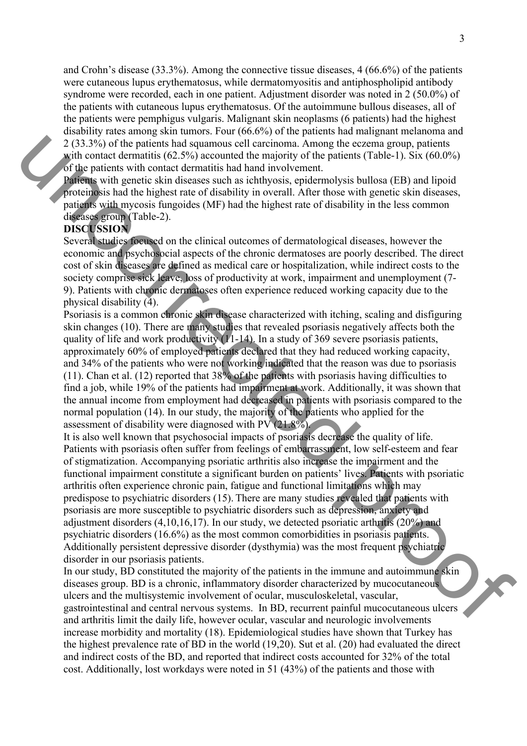and Crohn's disease (33.3%). Among the connective tissue diseases, 4 (66.6%) of the patients were cutaneous lupus erythematosus, while dermatomyositis and antiphospholipid antibody syndrome were recorded, each in one patient. Adjustment disorder was noted in 2 (50.0%) of the patients with cutaneous lupus erythematosus. Of the autoimmune bullous diseases, all of the patients were pemphigus vulgaris. Malignant skin neoplasms (6 patients) had the highest disability rates among skin tumors. Four (66.6%) of the patients had malignant melanoma and 2 (33.3%) of the patients had squamous cell carcinoma. Among the eczema group, patients with contact dermatitis  $(62.5\%)$  accounted the majority of the patients (Table-1). Six  $(60.0\%)$ of the patients with contact dermatitis had hand involvement.

Patients with genetic skin diseases such as ichthyosis, epidermolysis bullosa (EB) and lipoid proteinosis had the highest rate of disability in overall. After those with genetic skin diseases, patients with mycosis fungoides (MF) had the highest rate of disability in the less common diseases group (Table-2).

# **DISCUSSION**

Several studies focused on the clinical outcomes of dermatological diseases, however the economic and psychosocial aspects of the chronic dermatoses are poorly described. The direct cost of skin diseases are defined as medical care or hospitalization, while indirect costs to the society comprise sick leave, loss of productivity at work, impairment and unemployment (7- 9). Patients with chronic dermatoses often experience reduced working capacity due to the physical disability (4).

Psoriasis is a common chronic skin disease characterized with itching, scaling and disfiguring skin changes (10). There are many studies that revealed psoriasis negatively affects both the quality of life and work productivity (11-14). In a study of 369 severe psoriasis patients, approximately 60% of employed patients declared that they had reduced working capacity, and 34% of the patients who were not working indicated that the reason was due to psoriasis (11). Chan et al. (12) reported that 38% of the patients with psoriasis having difficulties to find a job, while 19% of the patients had impairment at work. Additionally, it was shown that the annual income from employment had decreased in patients with psoriasis compared to the normal population (14). In our study, the majority of the patients who applied for the assessment of disability were diagnosed with PV (21.8%).

It is also well known that psychosocial impacts of psoriasis decrease the quality of life. Patients with psoriasis often suffer from feelings of embarrassment, low self-esteem and fear of stigmatization. Accompanying psoriatic arthritis also increase the impairment and the functional impairment constitute a significant burden on patients' lives. Patients with psoriatic arthritis often experience chronic pain, fatigue and functional limitations which may predispose to psychiatric disorders (15). There are many studies revealed that patients with psoriasis are more susceptible to psychiatric disorders such as depression, anxiety and adjustment disorders (4,10,16,17). In our study, we detected psoriatic arthritis (20%) and psychiatric disorders (16.6%) as the most common comorbidities in psoriasis patients. Additionally persistent depressive disorder (dysthymia) was the most frequent psychiatric disorder in our psoriasis patients. 2(33,9%) of the partiest had quannous cell earenforma. Among the exeroma group particles<br>of the particles and the maintain (6.2.5%) accounted the mainting of the particles [Table I). Six (60.0%)<br>of the particles with cont

In our study, BD constituted the majority of the patients in the immune and autoimmune skin diseases group. BD is a chronic, inflammatory disorder characterized by mucocutaneous ulcers and the multisystemic involvement of ocular, musculoskeletal, vascular, gastrointestinal and central nervous systems. In BD, recurrent painful mucocutaneous ulcers and arthritis limit the daily life, however ocular, vascular and neurologic involvements increase morbidity and mortality (18). Epidemiological studies have shown that Turkey has the highest prevalence rate of BD in the world (19,20). Sut et al. (20) had evaluated the direct and indirect costs of the BD, and reported that indirect costs accounted for 32% of the total cost. Additionally, lost workdays were noted in 51 (43%) of the patients and those with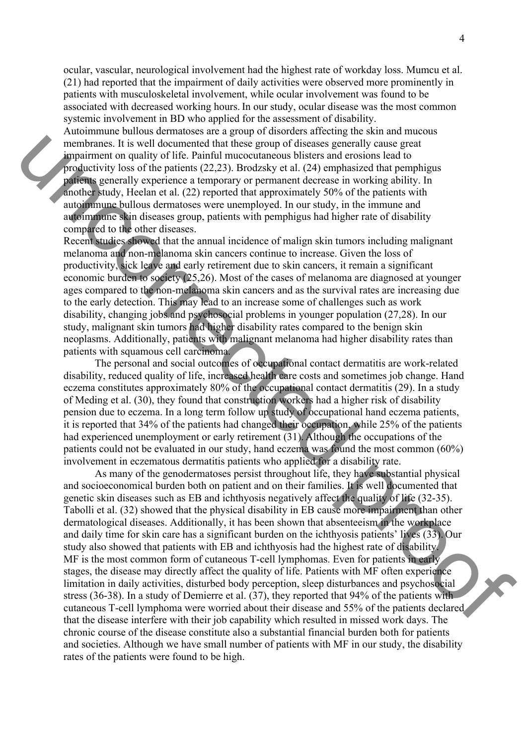ocular, vascular, neurological involvement had the highest rate of workday loss. Mumcu et al. (21) had reported that the impairment of daily activities were observed more prominently in patients with musculoskeletal involvement, while ocular involvement was found to be associated with decreased working hours.In our study, ocular disease was the most common systemic involvement in BD who applied for the assessment of disability.

Autoimmune bullous dermatoses are a group of disorders affecting the skin and mucous membranes. It is well documented that these group of diseases generally cause great impairment on quality of life. Painful mucocutaneous blisters and erosions lead to productivity loss of the patients (22,23). Brodzsky et al. (24) emphasized that pemphigus patients generally experience a temporary or permanent decrease in working ability. In another study, Heelan et al. (22) reported that approximately 50% of the patients with autoimmune bullous dermatoses were unemployed. In our study, in the immune and autoimmune skin diseases group, patients with pemphigus had higher rate of disability compared to the other diseases.

Recent studies showed that the annual incidence of malign skin tumors including malignant melanoma and non-melanoma skin cancers continue to increase. Given the loss of productivity, sick leave and early retirement due to skin cancers, it remain a significant economic burden to society (25,26). Most of the cases of melanoma are diagnosed at younger ages compared to the non-melanoma skin cancers and as the survival rates are increasing due to the early detection. This may lead to an increase some of challenges such as work disability, changing jobs and psychosocial problems in younger population (27,28). In our study, malignant skin tumors had higher disability rates compared to the benign skin neoplasms. Additionally, patients with malignant melanoma had higher disability rates than patients with squamous cell carcinoma.

 The personal and social outcomes of occupational contact dermatitis are work-related disability, reduced quality of life, increased health care costs and sometimes job change. Hand eczema constitutes approximately 80% of the occupational contact dermatitis (29). In a study of Meding et al. (30), they found that construction workers had a higher risk of disability pension due to eczema. In a long term follow up study of occupational hand eczema patients, it is reported that 34% of the patients had changed their occupation, while 25% of the patients had experienced unemployment or early retirement  $\overline{(31)}$ . Although the occupations of the patients could not be evaluated in our study, hand eczema was found the most common (60%) involvement in eczematous dermatitis patients who applied for a disability rate.

 As many of the genodermatoses persist throughout life, they have substantial physical and socioeconomical burden both on patient and on their families. It is well documented that genetic skin diseases such as EB and ichthyosis negatively affect the quality of life (32-35). Tabolli et al. (32) showed that the physical disability in EB cause more impairment than other dermatological diseases. Additionally, it has been shown that absenteeism in the workplace and daily time for skin care has a significant burden on the ichthyosis patients' lives (33). Our study also showed that patients with EB and ichthyosis had the highest rate of disability. MF is the most common form of cutaneous T-cell lymphomas. Even for patients in early stages, the disease may directly affect the quality of life. Patients with MF often experience limitation in daily activities, disturbed body perception, sleep disturbances and psychosocial stress (36-38). In a study of Demierre et al. (37), they reported that 94% of the patients with cutaneous T-cell lymphoma were worried about their disease and 55% of the patients declared that the disease interfere with their job capability which resulted in missed work days. The chronic course of the disease constitute also a substantial financial burden both for patients and societies. Although we have small number of patients with MF in our study, the disability rates of the patients were found to be high. membersos. It is well decomined that these group of discase specially earning the proposition of the proposition of the proof of the proposition of the proof of the proof of the proof of the proof of the proof of the proo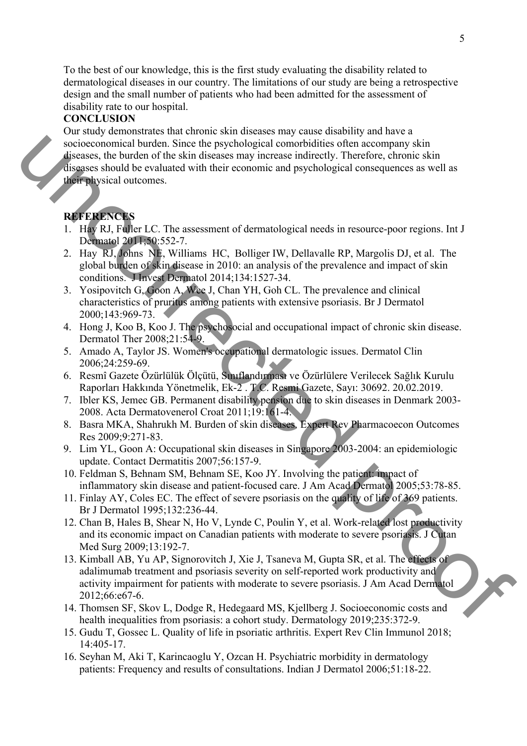To the best of our knowledge, this is the first study evaluating the disability related to dermatological diseases in our country. The limitations of our study are being a retrospective design and the small number of patients who had been admitted for the assessment of disability rate to our hospital.

## **CONCLUSION**

Our study demonstrates that chronic skin diseases may cause disability and have a socioeconomical burden. Since the psychological comorbidities often accompany skin diseases, the burden of the skin diseases may increase indirectly. Therefore, chronic skin diseases should be evaluated with their economic and psychological consequences as well as their physical outcomes. streamental burden. Since the psychological convolutions of<br>the since and space in the since the difference may increase indirectly. Therefore, chronic skinning<br>streamental the evaluated with their connomic and psychologi

## **REFERENCES**

- 1. Hay RJ, Fuller LC. The assessment of dermatological needs in resource-poor regions. Int J Dermatol 2011;50:552-7.
- 2. Hay RJ, Johns NE, Williams HC, Bolliger IW, Dellavalle RP, Margolis DJ, et al. The global burden of skin disease in 2010: an analysis of the prevalence and impact of skin conditions. J Invest Dermatol 2014;134:1527-34.
- 3. Yosipovitch G, Goon A, Wee J, Chan YH, Goh CL. The prevalence and clinical characteristics of pruritus among patients with extensive psoriasis. Br J Dermatol 2000;143:969-73.
- 4. Hong J, Koo B, Koo J. The psychosocial and occupational impact of chronic skin disease. Dermatol Ther 2008;21:54-9.
- 5. Amado A, Taylor JS. Women's occupational dermatologic issues. Dermatol Clin 2006;24:259-69.
- 6. Resmî Gazete Özürlülük Ölçütü, Sınıflandırması ve Özürlülere Verilecek Sağlık Kurulu Raporları Hakkında Yönetmelik, Ek-2 . T.C. Resmi Gazete, Sayı: 30692. 20.02.2019.
- 7. Ibler KS, Jemec GB. Permanent disability pension due to skin diseases in Denmark 2003- 2008. Acta Dermatovenerol Croat 2011;19:161-4.
- 8. Basra MKA, Shahrukh M. Burden of skin diseases. Expert Rev Pharmacoecon Outcomes Res 2009;9:271-83.
- 9. Lim YL, Goon A: Occupational skin diseases in Singapore 2003-2004: an epidemiologic update. Contact Dermatitis 2007;56:157-9.
- 10. Feldman S, Behnam SM, Behnam SE, Koo JY. Involving the patient: impact of inflammatory skin disease and patient-focused care. J Am Acad Dermatol 2005;53:78-85.
- 11. Finlay AY, Coles EC. The effect of severe psoriasis on the quality of life of 369 patients. Br J Dermatol 1995;132:236-44.
- 12. Chan B, Hales B, Shear N, Ho V, Lynde C, Poulin Y, et al. Work-related lost productivity and its economic impact on Canadian patients with moderate to severe psoriasis. J Cutan Med Surg 2009;13:192-7.
- 13. Kimball AB, Yu AP, Signorovitch J, Xie J, Tsaneva M, Gupta SR, et al. The effects of adalimumab treatment and psoriasis severity on self-reported work productivity and activity impairment for patients with moderate to severe psoriasis. J Am Acad Dermatol 2012;66:e67-6.
- 14. Thomsen SF, Skov L, Dodge R, Hedegaard MS, Kjellberg J. Socioeconomic costs and health inequalities from psoriasis: a cohort study. Dermatology 2019;235:372-9.
- 15. Gudu T, Gossec L. Quality of life in psoriatic arthritis. Expert Rev Clin Immunol 2018; 14:405-17.
- 16. Seyhan M, Aki T, Karincaoglu Y, Ozcan H. Psychiatric morbidity in dermatology patients: Frequency and results of consultations. Indian J Dermatol 2006;51:18-22.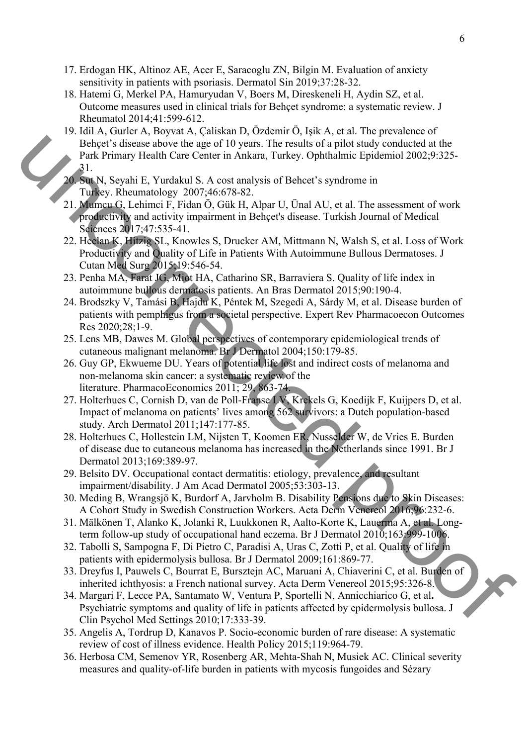- 17. Erdogan HK, Altinoz AE, Acer E, Saracoglu ZN, Bilgin M. Evaluation of anxiety sensitivity in patients with psoriasis. Dermatol Sin 2019;37:28-32.
- 18. Hatemi G, Merkel PA, Hamuryudan V, Boers M, Direskeneli H, Aydin SZ, et al. Outcome measures used in clinical trials for Behçet syndrome: a systematic review. J Rheumatol 2014;41:599-612.
- 19. Idil A, Gurler A, Boyvat A, Çaliskan D, Özdemir Ö, Işik A, et al. The prevalence of Behçet's disease above the age of 10 years. The results of a pilot study conducted at the Park Primary Health Care Center in Ankara, Turkey. Ophthalmic Epidemiol 2002;9:325- 31. Beher's dissearce above the age of 10 years. The results of a plus candy conducted at the Park Phinary Relative Gerecter in Ankara, Turkey, Ophthalmic Epidemial 2002;9:225<br>
21. Morecut is the Number of the Apart 11, et al
	- 20. Sut N, Seyahi E, Yurdakul S. A cost analysis of Behcet's syndrome in Turkey. Rheumatology 2007;46:678-82.
	- 21. Mumcu G, Lehimci F, Fidan Ö, Gük H, Alpar U, Ünal AU, et al. The assessment of work productivity and activity impairment in Behçet's disease. Turkish Journal of Medical Sciences 2017;47:535-41.
	- 22. Heelan K, Hitzig SL, Knowles S, Drucker AM, Mittmann N, Walsh S, et al. Loss of Work Productivity and Quality of Life in Patients With Autoimmune Bullous Dermatoses. J Cutan Med Surg 2015;19:546-54.
	- 23. Penha MA, Farat JG, Miot HA, Catharino SR, Barraviera S. Quality of life index in autoimmune bullous dermatosis patients. An Bras Dermatol 2015;90:190-4.
	- 24. Brodszky V, Tamási B, Hajdu K, Péntek M, Szegedi A, Sárdy M, et al. Disease burden of patients with pemphigus from a societal perspective. Expert Rev Pharmacoecon Outcomes Res 2020;28;1-9.
	- 25. Lens MB, Dawes M. Global perspectives of contemporary epidemiological trends of cutaneous malignant melanoma. Br J Dermatol 2004;150:179-85.
	- 26. Guy GP, Ekwueme DU. Years of potential life lost and indirect costs of melanoma and non-melanoma skin cancer: a systematic review of the literature. PharmacoEconomics 2011; 29, 863-74.
	- 27. Holterhues C, Cornish D, van de Poll-Franse LV, Krekels G, Koedijk F, Kuijpers D, et al. Impact of melanoma on patients' lives among 562 survivors: a Dutch population-based study. Arch Dermatol 2011;147:177-85.
	- 28. Holterhues C, Hollestein LM, Nijsten T, Koomen ER, Nusselder W, de Vries E. Burden of disease due to cutaneous melanoma has increased in the Netherlands since 1991. Br J Dermatol 2013;169:389-97.
	- 29. Belsito DV. Occupational contact dermatitis: etiology, prevalence, and resultant impairment/disability. J Am Acad Dermatol 2005;53:303-13.
	- 30. Meding B, Wrangsjö K, Burdorf A, Jarvholm B. Disability Pensions due to Skin Diseases: A Cohort Study in Swedish Construction Workers. Acta Derm Venereol 2016;96:232-6.
	- 31. Mälkönen T, Alanko K, Jolanki R, Luukkonen R, Aalto-Korte K, Lauerma A, et al*.* Longterm follow-up study of occupational hand eczema. Br J Dermatol 2010;163:999-1006.
	- 32. Tabolli S, Sampogna F, Di Pietro C, Paradisi A, Uras C, Zotti P, et al. Quality of life in patients with epidermolysis bullosa. Br J Dermatol 2009;161:869-77.
	- 33. Dreyfus I, Pauwels C, Bourrat E, Bursztejn AC, Maruani A, Chiaverini C, et al. Burden of inherited ichthyosis: a French national survey. Acta Derm Venereol 2015;95:326-8.
	- 34. Margari F, Lecce PA, Santamato W, Ventura P, Sportelli N, Annicchiarico G, et al**.** Psychiatric symptoms and quality of life in patients affected by epidermolysis bullosa. J Clin Psychol Med Settings 2010;17:333-39.
	- 35. Angelis A, Tordrup D, Kanavos P. Socio-economic burden of rare disease: A systematic review of cost of illness evidence. Health Policy 2015;119:964-79.
	- 36. Herbosa CM, Semenov YR, Rosenberg AR, Mehta-Shah N, Musiek AC. Clinical severity measures and quality-of-life burden in patients with mycosis fungoides and Sézary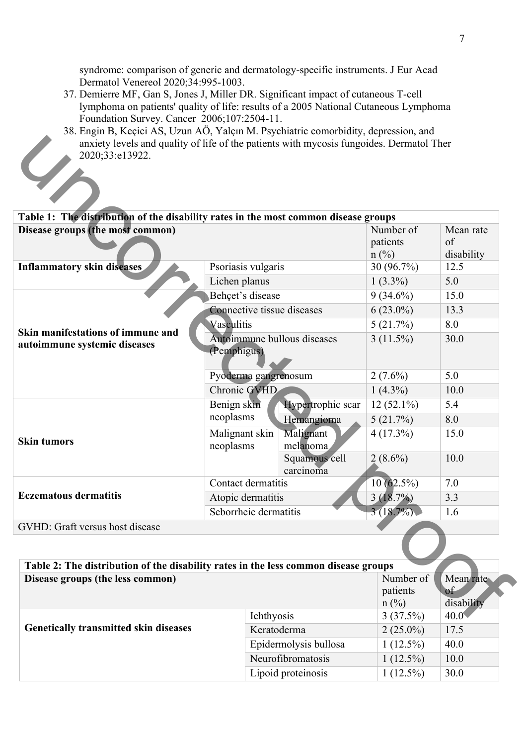syndrome: comparison of generic and dermatology-specific instruments. J Eur Acad Dermatol Venereol 2020;34:995-1003.

- 37. Demierre MF, Gan S, Jones J, Miller DR. Significant impact of cutaneous T-cell lymphoma on patients' quality of life: results of a 2005 National Cutaneous Lymphoma Foundation Survey. Cancer 2006;107:2504-11.
- 38. Engin B, Keçici AS, Uzun AÖ, Yalçın M. Psychiatric comorbidity, depression, and anxiety levels and quality of life of the patients with mycosis fungoides. Dermatol Ther 2020;33:e13922.  $\mathcal{C}_{\mathcal{A}_{\text{int}}}$

| anxiety levels and quality of life of the patients with mycosis fungoides. Dermatol Ther<br>2020;33:e13922. |                                            |                            |                                  |                               |
|-------------------------------------------------------------------------------------------------------------|--------------------------------------------|----------------------------|----------------------------------|-------------------------------|
|                                                                                                             |                                            |                            |                                  |                               |
| Table 1: The distribution of the disability rates in the most common disease groups                         |                                            |                            |                                  |                               |
| Disease groups (the most common)                                                                            |                                            |                            | Number of<br>patients<br>$n$ (%) | Mean rate<br>of<br>disability |
| <b>Inflammatory skin diseases</b><br>Psoriasis vulgaris                                                     |                                            |                            | 30 (96.7%)                       | 12.5                          |
|                                                                                                             | Lichen planus                              |                            |                                  | 5.0                           |
| Skin manifestations of immune and<br>autoimmune systemic diseases                                           |                                            | Behçet's disease           |                                  | 15.0                          |
|                                                                                                             |                                            | Connective tissue diseases |                                  | 13.3                          |
|                                                                                                             | Vasculitis                                 |                            |                                  | 8.0                           |
|                                                                                                             | Autoimmune bullous diseases<br>(Pemphigus) |                            | $3(11.5\%)$                      | 30.0                          |
|                                                                                                             |                                            | Pyoderma gangrenosum       |                                  | 5.0                           |
|                                                                                                             |                                            | Chronic GVHD               |                                  | 10.0                          |
| <b>Skin tumors</b>                                                                                          | Benign skin                                | Hypertrophic scar          | $12(52.1\%)$                     | 5.4                           |
|                                                                                                             | neoplasms                                  | Hemangioma                 | 5(21.7%)                         | 8.0                           |
|                                                                                                             | Malignant skin<br>neoplasms                | Malignant<br>melanoma      | $4(17.3\%)$                      | 15.0                          |
|                                                                                                             |                                            | Squamous cell<br>carcinoma | $2(8.6\%)$                       | 10.0                          |
|                                                                                                             | Contact dermatitis                         |                            | $10(62.5\%)$                     | 7.0                           |
| <b>Eczematous dermatitis</b>                                                                                | Atopic dermatitis                          |                            | 3(18.7%)                         | 3.3                           |
|                                                                                                             |                                            | Seborrheic dermatitis      |                                  | 1.6                           |
| GVHD: Graft versus host disease                                                                             |                                            |                            |                                  |                               |
|                                                                                                             |                                            |                            |                                  |                               |
| Table 2: The distribution of the disability rates in the less common disease groups                         |                                            |                            |                                  |                               |
| Disease groups (the less common)                                                                            |                                            |                            | Number of<br>patients            | Mean rate<br>of               |
|                                                                                                             |                                            |                            | $n(^{0}/_{0})$<br>3(37.5%)       | disability<br>$40.0^{\circ}$  |
|                                                                                                             | Ichthyosis                                 |                            |                                  |                               |

| Table 2: The distribution of the disability rates in the less common disease groups<br>Disease groups (the less common) |                       | Number of                  | Mean rate        |
|-------------------------------------------------------------------------------------------------------------------------|-----------------------|----------------------------|------------------|
|                                                                                                                         |                       | patients<br>$n(^{0}/_{0})$ | of<br>disability |
| <b>Genetically transmitted skin diseases</b>                                                                            | Ichthyosis            | 3(37.5%)                   | $40.0\text{V}$   |
|                                                                                                                         | Keratoderma           | $2(25.0\%)$                | 17.5             |
|                                                                                                                         | Epidermolysis bullosa | $1(12.5\%)$                | 40.0             |
|                                                                                                                         | Neurofibromatosis     | $1(12.5\%)$                | 10.0             |
|                                                                                                                         | Lipoid proteinosis    | $(12.5\%)$                 | 30.0             |